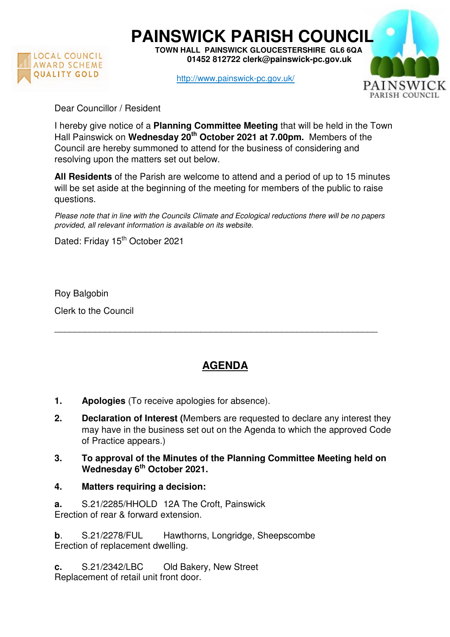

**PAINSWICK PARISH COUNCIL TOWN HALL PAINSWICK GLOUCESTERSHIRE GL6 6QA** 

 **01452 812722 clerk@painswick-pc.gov.uk** 

http://www.painswick-pc.gov.uk/



Dear Councillor / Resident

I hereby give notice of a **Planning Committee Meeting** that will be held in the Town Hall Painswick on **Wednesday 20th October 2021 at 7.00pm.** Members of the Council are hereby summoned to attend for the business of considering and resolving upon the matters set out below.

**All Residents** of the Parish are welcome to attend and a period of up to 15 minutes will be set aside at the beginning of the meeting for members of the public to raise questions.

Please note that in line with the Councils Climate and Ecological reductions there will be no papers provided, all relevant information is available on its website.

Dated: Friday 15<sup>th</sup> October 2021

Roy Balgobin

Clerk to the Council

## **AGENDA**

\_\_\_\_\_\_\_\_\_\_\_\_\_\_\_\_\_\_\_\_\_\_\_\_\_\_\_\_\_\_\_\_\_\_\_\_\_\_\_\_\_\_\_\_\_\_\_\_\_\_\_\_\_\_\_\_\_\_\_\_\_\_\_\_

- **1. Apologies** (To receive apologies for absence).
- **2. Declaration of Interest (**Members are requested to declare any interest they may have in the business set out on the Agenda to which the approved Code of Practice appears.)
- **3. To approval of the Minutes of the Planning Committee Meeting held on Wednesday 6th October 2021.**
- **4. Matters requiring a decision:**
- **a.** S.21/2285/HHOLD 12A The Croft, Painswick Erection of rear & forward extension.

**b**. S.21/2278/FUL Hawthorns, Longridge, Sheepscombe Erection of replacement dwelling.

**c.** S.21/2342/LBC Old Bakery, New Street Replacement of retail unit front door.